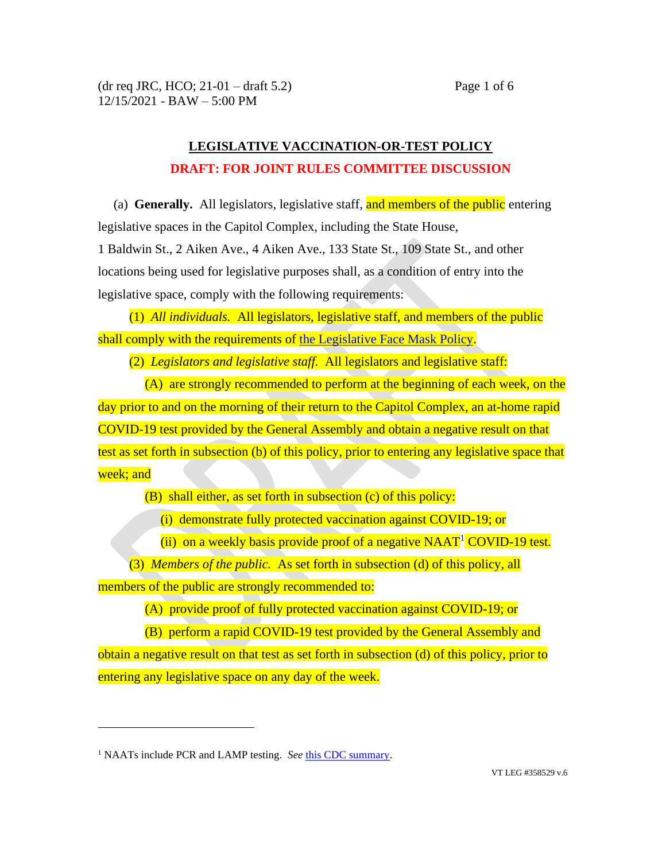## **LEGISLATIVE VACCINATION-OR-TEST POLICY DRAFT: FOR JOINT RULES COMMITTEE DISCUSSION**

(a) **Generally.** All legislators, legislative staff, and members of the public entering legislative spaces in the Capitol Complex, including the State House, 1 Baldwin St., 2 Aiken Ave., 4 Aiken Ave., 133 State St., 109 State St., and other

locations being used for legislative purposes shall, as a condition of entry into the legislative space, comply with the following requirements:

(1) *All individuals.* All legislators, legislative staff, and members of the public shall comply with the requirements of [the Legislative Face Mask Policy.](https://legislature.vermont.gov/assets/Announcement-Uploads/2021-09-07-Legislative-Face-Mask-Policy.pdf)

(2) *Legislators and legislative staff.* All legislators and legislative staff:

(A) are strongly recommended to perform at the beginning of each week, on the day prior to and on the morning of their return to the Capitol Complex, an at-home rapid COVID-19 test provided by the General Assembly and obtain a negative result on that test as set forth in subsection (b) of this policy, prior to entering any legislative space that week; and

(B) shall either, as set forth in subsection (c) of this policy:

(i) demonstrate fully protected vaccination against COVID-19; or

(ii) on a weekly basis provide proof of a negative  $NAAT<sup>1</sup>$  COVID-19 test.

(3) *Members of the public.* As set forth in subsection (d) of this policy, all members of the public are strongly recommended to:

(A) provide proof of fully protected vaccination against COVID-19; or

(B) perform a rapid COVID-19 test provided by the General Assembly and obtain a negative result on that test as set forth in subsection (d) of this policy, prior to entering any legislative space on any day of the week.

<sup>&</sup>lt;sup>1</sup> NAATs include PCR and LAMP testing. *See* [this CDC summary.](https://www.cdc.gov/coronavirus/2019-ncov/lab/naats.html)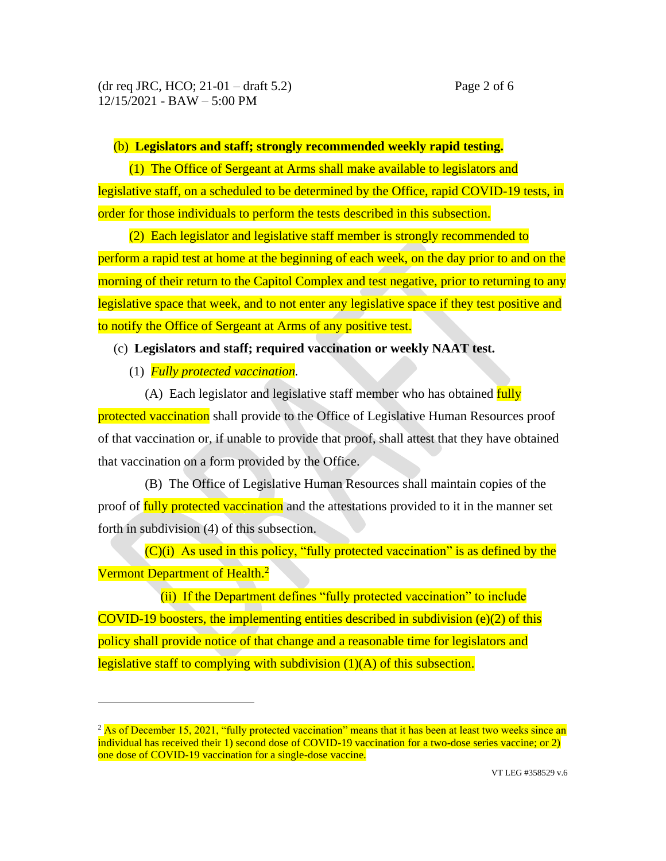## (b) **Legislators and staff; strongly recommended weekly rapid testing.**

(1) The Office of Sergeant at Arms shall make available to legislators and legislative staff, on a scheduled to be determined by the Office, rapid COVID-19 tests, in order for those individuals to perform the tests described in this subsection.

(2) Each legislator and legislative staff member is strongly recommended to perform a rapid test at home at the beginning of each week, on the day prior to and on the morning of their return to the Capitol Complex and test negative, prior to returning to any legislative space that week, and to not enter any legislative space if they test positive and to notify the Office of Sergeant at Arms of any positive test.

## (c) **Legislators and staff; required vaccination or weekly NAAT test.**

(1) *Fully protected vaccination.*

(A) Each legislator and legislative staff member who has obtained fully protected vaccination shall provide to the Office of Legislative Human Resources proof of that vaccination or, if unable to provide that proof, shall attest that they have obtained that vaccination on a form provided by the Office.

(B) The Office of Legislative Human Resources shall maintain copies of the proof of fully protected vaccination and the attestations provided to it in the manner set forth in subdivision (4) of this subsection.

 $(C)(i)$  As used in this policy, "fully protected vaccination" is as defined by the Vermont Department of Health.<sup>2</sup>

(ii) If the Department defines "fully protected vaccination" to include COVID-19 boosters, the implementing entities described in subdivision  $(e)(2)$  of this policy shall provide notice of that change and a reasonable time for legislators and legislative staff to complying with subdivision (1)(A) of this subsection.

 $2$  As of December 15, 2021, "fully protected vaccination" means that it has been at least two weeks since an individual has received their 1) second dose of COVID-19 vaccination for a two-dose series vaccine; or 2) one dose of COVID-19 vaccination for a single-dose vaccine.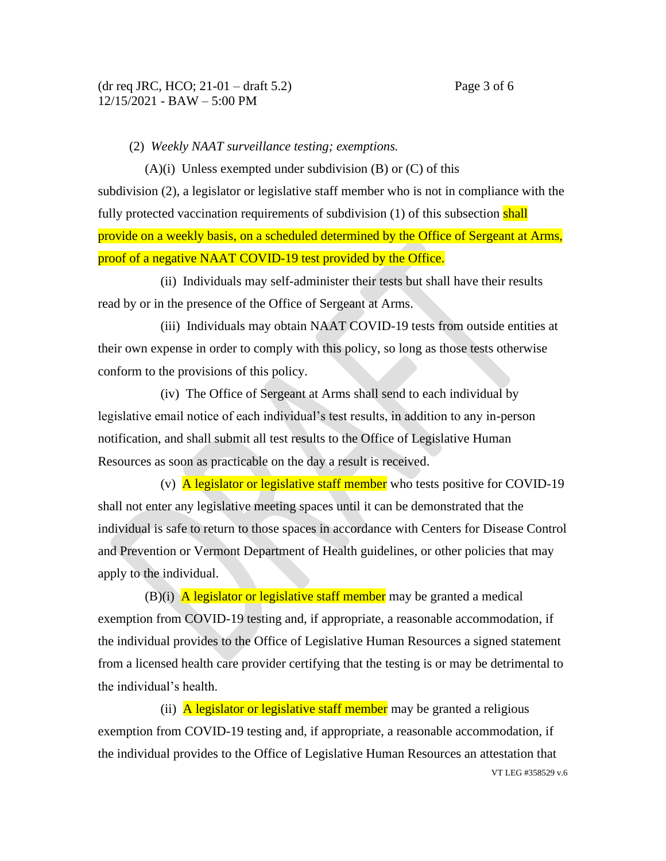(2) *Weekly NAAT surveillance testing; exemptions.*

 $(A)(i)$  Unless exempted under subdivision  $(B)$  or  $(C)$  of this subdivision (2), a legislator or legislative staff member who is not in compliance with the fully protected vaccination requirements of subdivision (1) of this subsection shall provide on a weekly basis, on a scheduled determined by the Office of Sergeant at Arms, proof of a negative NAAT COVID-19 test provided by the Office.

(ii) Individuals may self-administer their tests but shall have their results read by or in the presence of the Office of Sergeant at Arms.

(iii) Individuals may obtain NAAT COVID-19 tests from outside entities at their own expense in order to comply with this policy, so long as those tests otherwise conform to the provisions of this policy.

(iv) The Office of Sergeant at Arms shall send to each individual by legislative email notice of each individual's test results, in addition to any in-person notification, and shall submit all test results to the Office of Legislative Human Resources as soon as practicable on the day a result is received.

(v)  $\overline{A}$  legislator or legislative staff member who tests positive for COVID-19 shall not enter any legislative meeting spaces until it can be demonstrated that the individual is safe to return to those spaces in accordance with Centers for Disease Control and Prevention or Vermont Department of Health guidelines, or other policies that may apply to the individual.

 $(B)(i)$  A legislator or legislative staff member may be granted a medical exemption from COVID-19 testing and, if appropriate, a reasonable accommodation, if the individual provides to the Office of Legislative Human Resources a signed statement from a licensed health care provider certifying that the testing is or may be detrimental to the individual's health.

VT LEG #358529 v.6 (ii)  $\overline{A}$  legislator or legislative staff member may be granted a religious exemption from COVID-19 testing and, if appropriate, a reasonable accommodation, if the individual provides to the Office of Legislative Human Resources an attestation that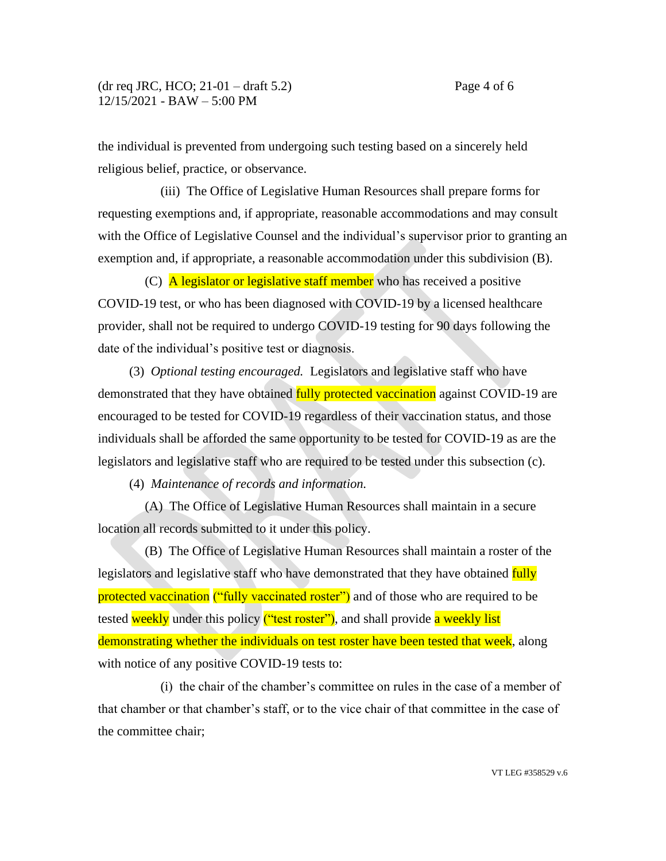the individual is prevented from undergoing such testing based on a sincerely held religious belief, practice, or observance.

(iii) The Office of Legislative Human Resources shall prepare forms for requesting exemptions and, if appropriate, reasonable accommodations and may consult with the Office of Legislative Counsel and the individual's supervisor prior to granting an exemption and, if appropriate, a reasonable accommodation under this subdivision (B).

(C) **A legislator or legislative staff member** who has received a positive COVID-19 test, or who has been diagnosed with COVID-19 by a licensed healthcare provider, shall not be required to undergo COVID-19 testing for 90 days following the date of the individual's positive test or diagnosis.

(3) *Optional testing encouraged.* Legislators and legislative staff who have demonstrated that they have obtained fully protected vaccination against COVID-19 are encouraged to be tested for COVID-19 regardless of their vaccination status, and those individuals shall be afforded the same opportunity to be tested for COVID-19 as are the legislators and legislative staff who are required to be tested under this subsection (c).

(4)*Maintenance of records and information.*

(A) The Office of Legislative Human Resources shall maintain in a secure location all records submitted to it under this policy.

(B) The Office of Legislative Human Resources shall maintain a roster of the legislators and legislative staff who have demonstrated that they have obtained fully protected vaccination ("fully vaccinated roster") and of those who are required to be tested weekly under this policy ("test roster"), and shall provide a weekly list demonstrating whether the individuals on test roster have been tested that week, along with notice of any positive COVID-19 tests to:

(i) the chair of the chamber's committee on rules in the case of a member of that chamber or that chamber's staff, or to the vice chair of that committee in the case of the committee chair;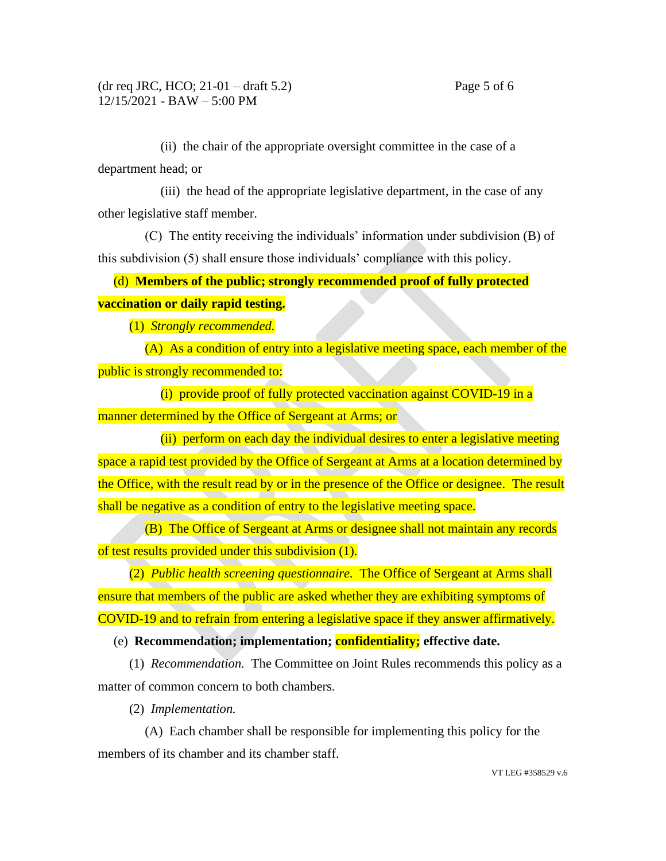(ii) the chair of the appropriate oversight committee in the case of a department head; or

(iii) the head of the appropriate legislative department, in the case of any other legislative staff member.

(C) The entity receiving the individuals' information under subdivision (B) of this subdivision (5) shall ensure those individuals' compliance with this policy.

(d) **Members of the public; strongly recommended proof of fully protected vaccination or daily rapid testing.** 

(1) *Strongly recommended.*

(A) As a condition of entry into a legislative meeting space, each member of the public is strongly recommended to:

(i) provide proof of fully protected vaccination against COVID-19 in a manner determined by the Office of Sergeant at Arms; or

(ii) perform on each day the individual desires to enter a legislative meeting space a rapid test provided by the Office of Sergeant at Arms at a location determined by the Office, with the result read by or in the presence of the Office or designee. The result shall be negative as a condition of entry to the legislative meeting space.

(B) The Office of Sergeant at Arms or designee shall not maintain any records of test results provided under this subdivision (1).

(2) *Public health screening questionnaire.* The Office of Sergeant at Arms shall ensure that members of the public are asked whether they are exhibiting symptoms of COVID-19 and to refrain from entering a legislative space if they answer affirmatively.

(e) **Recommendation; implementation; confidentiality; effective date.**

(1) *Recommendation.* The Committee on Joint Rules recommends this policy as a matter of common concern to both chambers.

(2) *Implementation.*

(A) Each chamber shall be responsible for implementing this policy for the members of its chamber and its chamber staff.